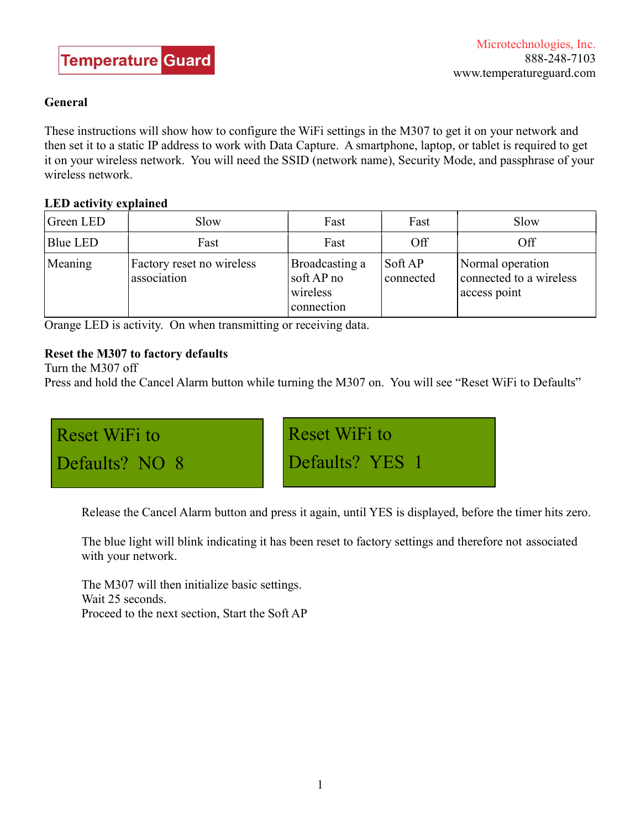## General

These instructions will show how to configure the WiFi settings in the M307 to get it on your network and then set it to a static IP address to work with Data Capture. A smartphone, laptop, or tablet is required to get it on your wireless network. You will need the SSID (network name), Security Mode, and passphrase of your wireless network.

## LED activity explained

| Green LED | Slow                                     | Fast                                                   | Fast                 | Slow                                                        |
|-----------|------------------------------------------|--------------------------------------------------------|----------------------|-------------------------------------------------------------|
| Blue LED  | Fast                                     | Fast                                                   | Off                  | Off                                                         |
| Meaning   | Factory reset no wireless<br>association | Broadcasting a<br>soft AP no<br>wireless<br>connection | Soft AP<br>connected | Normal operation<br>connected to a wireless<br>access point |

Orange LED is activity. On when transmitting or receiving data.

# Reset the M307 to factory defaults

Turn the M307 off

Press and hold the Cancel Alarm button while turning the M307 on. You will see "Reset WiFi to Defaults"



Release the Cancel Alarm button and press it again, until YES is displayed, before the timer hits zero.

 The blue light will blink indicating it has been reset to factory settings and therefore not associated with your network.

 The M307 will then initialize basic settings. Wait 25 seconds. Proceed to the next section, Start the Soft AP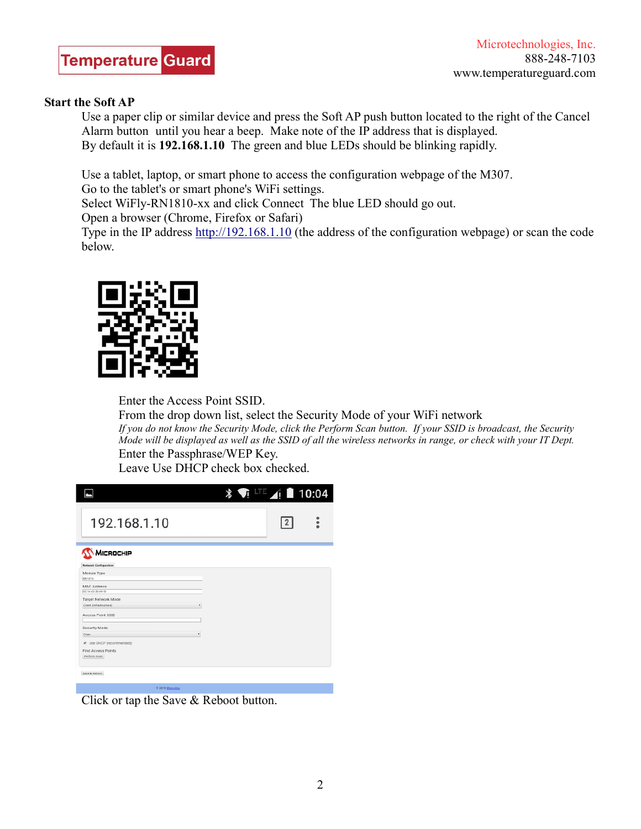

#### Start the Soft AP

 Use a paper clip or similar device and press the Soft AP push button located to the right of the Cancel Alarm button until you hear a beep. Make note of the IP address that is displayed. By default it is 192.168.1.10 The green and blue LEDs should be blinking rapidly.

Use a tablet, laptop, or smart phone to access the configuration webpage of the M307.

Go to the tablet's or smart phone's WiFi settings.

Select WiFly-RN1810-xx and click Connect The blue LED should go out.

Open a browser (Chrome, Firefox or Safari)

 Type in the IP address http://192.168.1.10 (the address of the configuration webpage) or scan the code below.



Enter the Access Point SSID.

 From the drop down list, select the Security Mode of your WiFi network If you do not know the Security Mode, click the Perform Scan button. If your SSID is broadcast, the Security Mode will be displayed as well as the SSID of all the wireless networks in range, or check with your IT Dept. Enter the Passphrase/WEP Key.

Leave Use DHCP check box checked.

|                                                                | $\frac{1}{2}$ <b>TE</b> $\frac{1}{2}$ 10:04 |                |
|----------------------------------------------------------------|---------------------------------------------|----------------|
| 192.168.1.10                                                   |                                             | $\overline{2}$ |
| MICROCHIP<br><b>Network Configuration</b>                      |                                             |                |
| Module Type<br><b>RN1810</b>                                   |                                             |                |
| <b>MAC Address</b><br>00:1e x0:36 e9:50                        |                                             |                |
| Target Network Mode<br>Client (Infrastructure)<br>٠            |                                             |                |
| Access Point SSID<br>Security Mode                             |                                             |                |
| ٠<br>Open                                                      |                                             |                |
| M Use DHCP (recommended)<br>Find Access Points<br>Perform Scan |                                             |                |
| Save & Reboot                                                  |                                             |                |
| ally expected to the property that                             |                                             |                |

Click or tap the Save & Reboot button.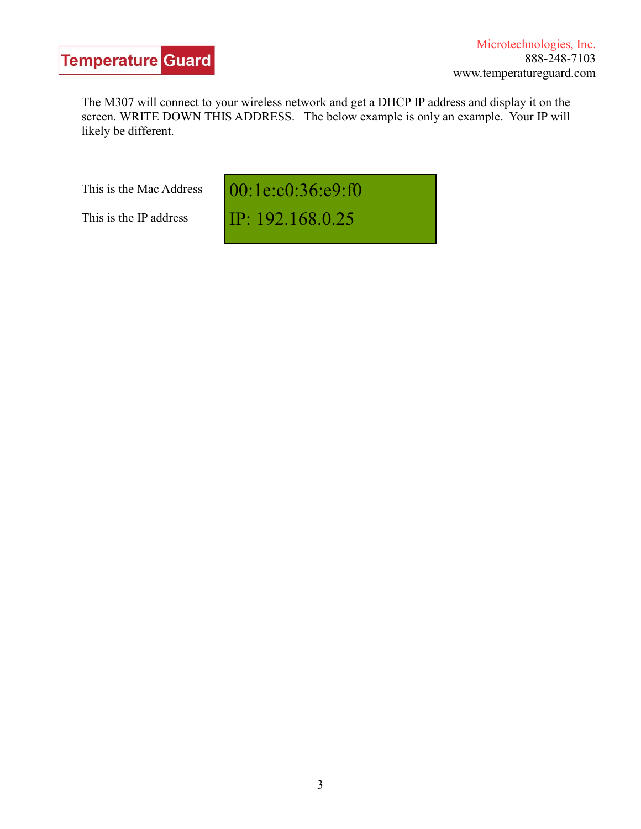The M307 will connect to your wireless network and get a DHCP IP address and display it on the screen. WRITE DOWN THIS ADDRESS. The below example is only an example. Your IP will likely be different.

This is the Mac Address

This is the IP address

00:1e:c0:36:e9:f0

IP: 192.168.0.25